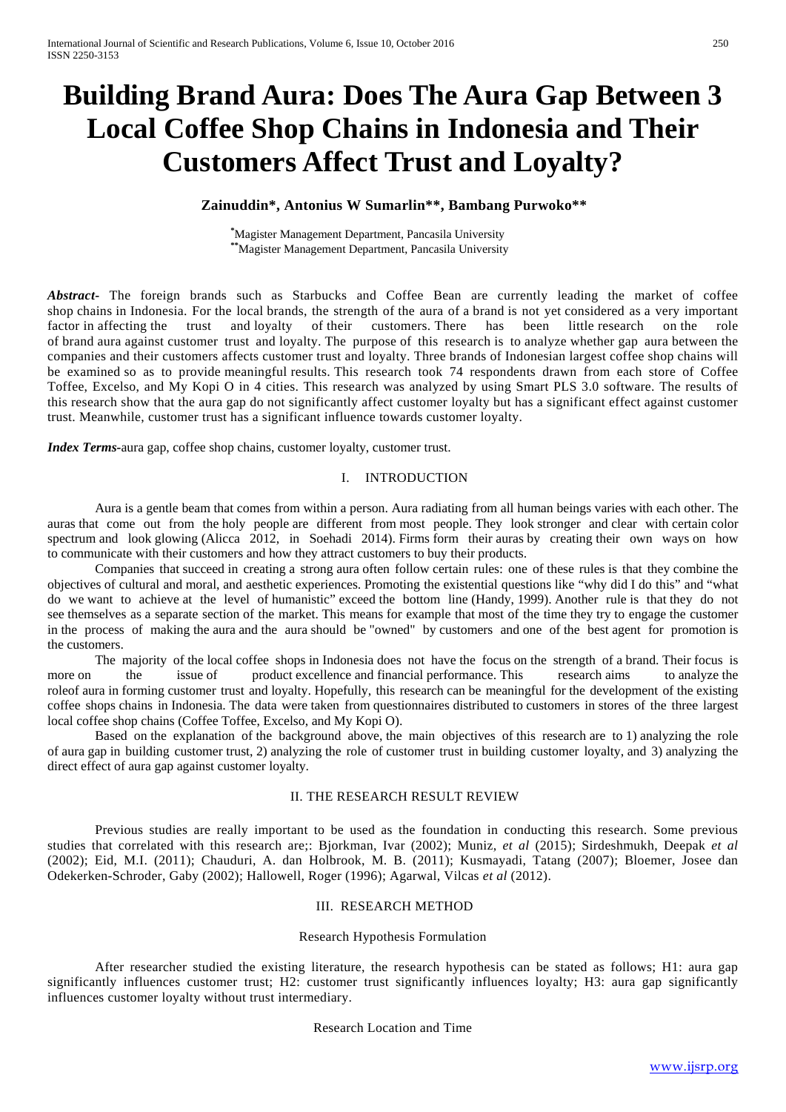# **Building Brand Aura: Does The Aura Gap Between 3 Local Coffee Shop Chains in Indonesia and Their Customers Affect Trust and Loyalty?**

# **Zainuddin\*, Antonius W Sumarlin\*\*, Bambang Purwoko\*\***

**\*** Magister Management Department, Pancasila University **\*\***Magister Management Department, Pancasila University

Abstract<sup>-</sup> The foreign brands such as Starbucks and Coffee Bean are currently leading the market of coffee shop chains in Indonesia. For the local brands, the strength of the aura of a brand is not yet considered as a very important factor in affecting the trust and loyalty of their customers. There has been little research on the role of brand aura against customer trust and loyalty. The purpose of this research is to analyze whether gap aura between the companies and their customers affects customer trust and loyalty. Three brands of Indonesian largest coffee shop chains will be examined so as to provide meaningful results. This research took 74 respondents drawn from each store of Coffee Toffee, Excelso, and My Kopi O in 4 cities. This research was analyzed by using Smart PLS 3.0 software. The results of this research show that the aura gap do not significantly affect customer loyalty but has a significant effect against customer trust. Meanwhile, customer trust has a significant influence towards customer loyalty.

*Index Terms-*aura gap, coffee shop chains, customer loyalty, customer trust.

#### I. INTRODUCTION

Aura is a gentle beam that comes from within a person. Aura radiating from all human beings varies with each other. The auras that come out from the holy people are different from most people. They look stronger and clear with certain color spectrum and look glowing (Alicca 2012, in Soehadi 2014). Firms form their auras by creating their own ways on how to communicate with their customers and how they attract customers to buy their products.

Companies that succeed in creating a strong aura often follow certain rules: one of these rules is that they combine the objectives of cultural and moral, and aesthetic experiences. Promoting the existential questions like "why did I do this" and "what do we want to achieve at the level of humanistic" exceed the bottom line (Handy, 1999). Another rule is that they do not see themselves as a separate section of the market. This means for example that most of the time they try to engage the customer in the process of making the aura and the aura should be "owned" by customers and one of the best agent for promotion is the customers.

The majority of the local coffee shops in Indonesia does not have the focus on the strength of a brand. Their focus is more on the issue of product excellence and financial performance. This research aims to analyze the roleof aura in forming customer trust and loyalty. Hopefully, this research can be meaningful for the development of the existing coffee shops chains in Indonesia. The data were taken from questionnaires distributed to customers in stores of the three largest local coffee shop chains (Coffee Toffee, Excelso, and My Kopi O).

Based on the explanation of the background above, the main objectives of this research are to 1) analyzing the role of aura gap in building customer trust, 2) analyzing the role of customer trust in building customer loyalty, and 3) analyzing the direct effect of aura gap against customer loyalty.

#### II. THE RESEARCH RESULT REVIEW

Previous studies are really important to be used as the foundation in conducting this research. Some previous studies that correlated with this research are;: Bjorkman, Ivar (2002); Muniz, *et al* (2015); Sirdeshmukh, Deepak *et al* (2002); Eid, M.I. (2011); Chauduri, A. dan Holbrook, M. B. (2011); Kusmayadi, Tatang (2007); Bloemer, Josee dan Odekerken-Schroder, Gaby (2002); Hallowell, Roger (1996); Agarwal, Vilcas *et al* (2012).

#### III. RESEARCH METHOD

#### Research Hypothesis Formulation

After researcher studied the existing literature, the research hypothesis can be stated as follows; H1: aura gap significantly influences customer trust; H2: customer trust significantly influences loyalty; H3: aura gap significantly influences customer loyalty without trust intermediary.

Research Location and Time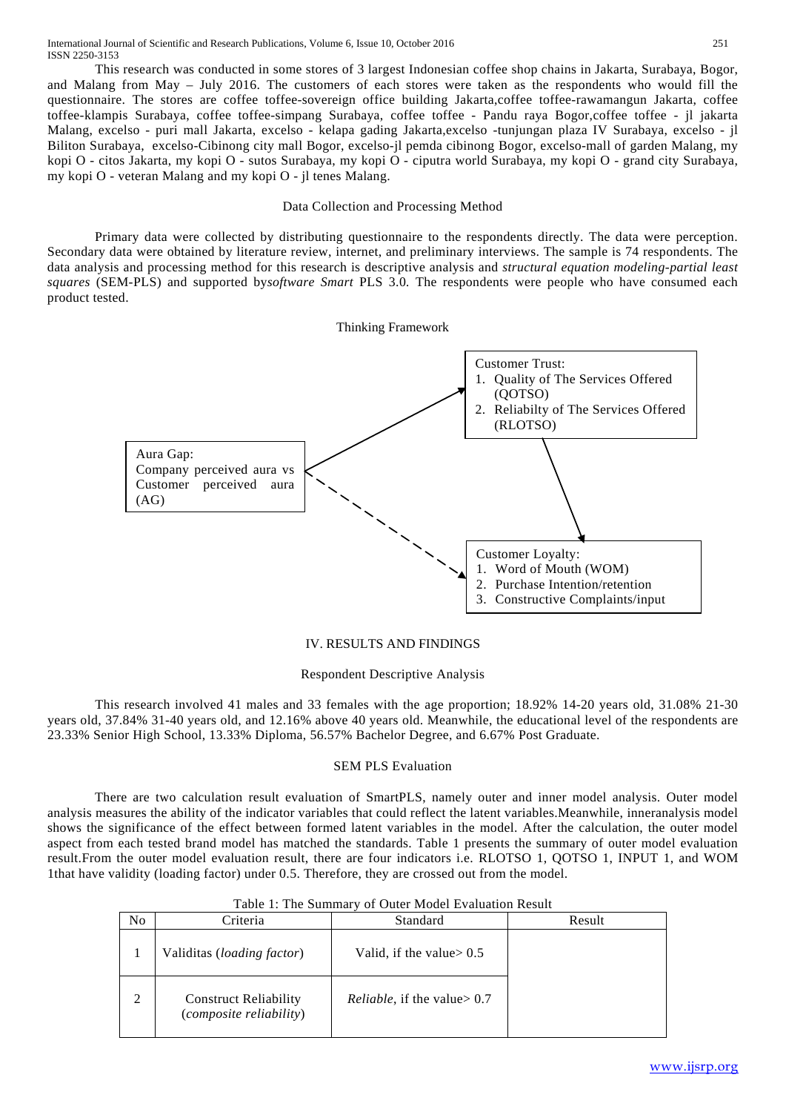This research was conducted in some stores of 3 largest Indonesian coffee shop chains in Jakarta, Surabaya, Bogor, and Malang from May – July 2016. The customers of each stores were taken as the respondents who would fill the questionnaire. The stores are coffee toffee-sovereign office building Jakarta,coffee toffee-rawamangun Jakarta, coffee toffee-klampis Surabaya, coffee toffee-simpang Surabaya, coffee toffee - Pandu raya Bogor,coffee toffee - jl jakarta Malang, excelso - puri mall Jakarta, excelso - kelapa gading Jakarta,excelso -tunjungan plaza IV Surabaya, excelso - jl Biliton Surabaya, excelso-Cibinong city mall Bogor, excelso-jl pemda cibinong Bogor, excelso-mall of garden Malang, my kopi O - citos Jakarta, my kopi O - sutos Surabaya, my kopi O - ciputra world Surabaya, my kopi O - grand city Surabaya, my kopi O - veteran Malang and my kopi O - jl tenes Malang.

## Data Collection and Processing Method

Primary data were collected by distributing questionnaire to the respondents directly. The data were perception. Secondary data were obtained by literature review, internet, and preliminary interviews. The sample is 74 respondents. The data analysis and processing method for this research is descriptive analysis and *structural equation modeling-partial least squares* (SEM-PLS) and supported by*software Smart* PLS 3.0*.* The respondents were people who have consumed each product tested.



# IV. RESULTS AND FINDINGS

#### Respondent Descriptive Analysis

This research involved 41 males and 33 females with the age proportion; 18.92% 14-20 years old, 31.08% 21-30 years old, 37.84% 31-40 years old, and 12.16% above 40 years old. Meanwhile, the educational level of the respondents are 23.33% Senior High School, 13.33% Diploma, 56.57% Bachelor Degree, and 6.67% Post Graduate.

#### SEM PLS Evaluation

There are two calculation result evaluation of SmartPLS, namely outer and inner model analysis. Outer model analysis measures the ability of the indicator variables that could reflect the latent variables.Meanwhile, inneranalysis model shows the significance of the effect between formed latent variables in the model. After the calculation, the outer model aspect from each tested brand model has matched the standards. Table 1 presents the summary of outer model evaluation result.From the outer model evaluation result, there are four indicators i.e. RLOTSO 1, QOTSO 1, INPUT 1, and WOM 1that have validity (loading factor) under 0.5. Therefore, they are crossed out from the model.

| N <sub>0</sub> | Criteria                                                | Standard                               | Result |
|----------------|---------------------------------------------------------|----------------------------------------|--------|
|                | Validitas ( <i>loading factor</i> )                     | Valid, if the value $> 0.5$            |        |
| 2              | <b>Construct Reliability</b><br>(composite reliability) | <i>Reliable</i> , if the value $> 0.7$ |        |

# Table 1: The Summary of Outer Model Evaluation Result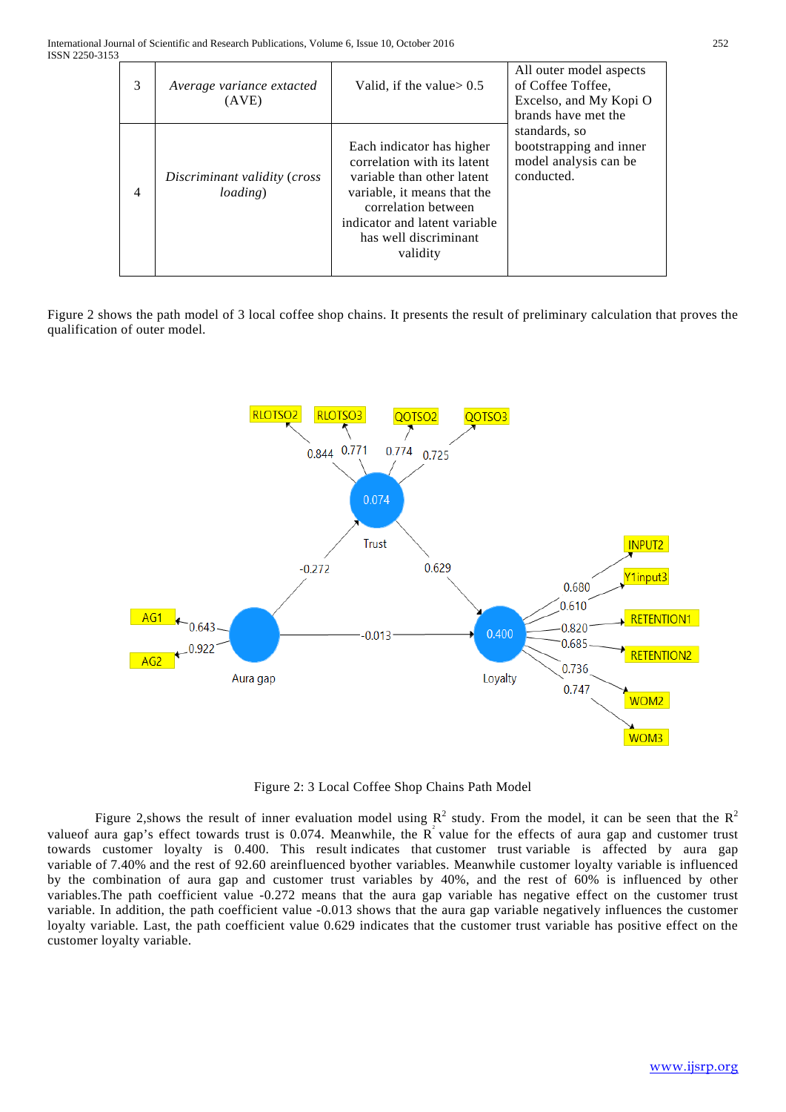| 3 | Average variance extacted<br>(AVE)               | Valid, if the value $> 0.5$                                                                                                                                                                                        | All outer model aspects<br>of Coffee Toffee.<br>Excelso, and My Kopi O<br>brands have met the |
|---|--------------------------------------------------|--------------------------------------------------------------------------------------------------------------------------------------------------------------------------------------------------------------------|-----------------------------------------------------------------------------------------------|
| 4 | Discriminant validity (cross<br><i>loading</i> ) | Each indicator has higher<br>correlation with its latent<br>variable than other latent<br>variable, it means that the<br>correlation between<br>indicator and latent variable<br>has well discriminant<br>validity | standards, so<br>bootstrapping and inner<br>model analysis can be<br>conducted.               |

Figure 2 shows the path model of 3 local coffee shop chains. It presents the result of preliminary calculation that proves the qualification of outer model.



Figure 2: 3 Local Coffee Shop Chains Path Model

Figure 2, shows the result of inner evaluation model using  $R^2$  study. From the model, it can be seen that the  $R^2$ value of aura gap's effect towards trust is 0.074. Meanwhile, the  $R^2$  value for the effects of aura gap and customer trust towards customer loyalty is 0.400. This result indicates that customer trust variable is affected by aura gap variable of 7.40% and the rest of 92.60 areinfluenced byother variables. Meanwhile customer loyalty variable is influenced by the combination of aura gap and customer trust variables by 40%, and the rest of 60% is influenced by other variables.The path coefficient value -0.272 means that the aura gap variable has negative effect on the customer trust variable. In addition, the path coefficient value -0.013 shows that the aura gap variable negatively influences the customer loyalty variable. Last, the path coefficient value 0.629 indicates that the customer trust variable has positive effect on the customer loyalty variable.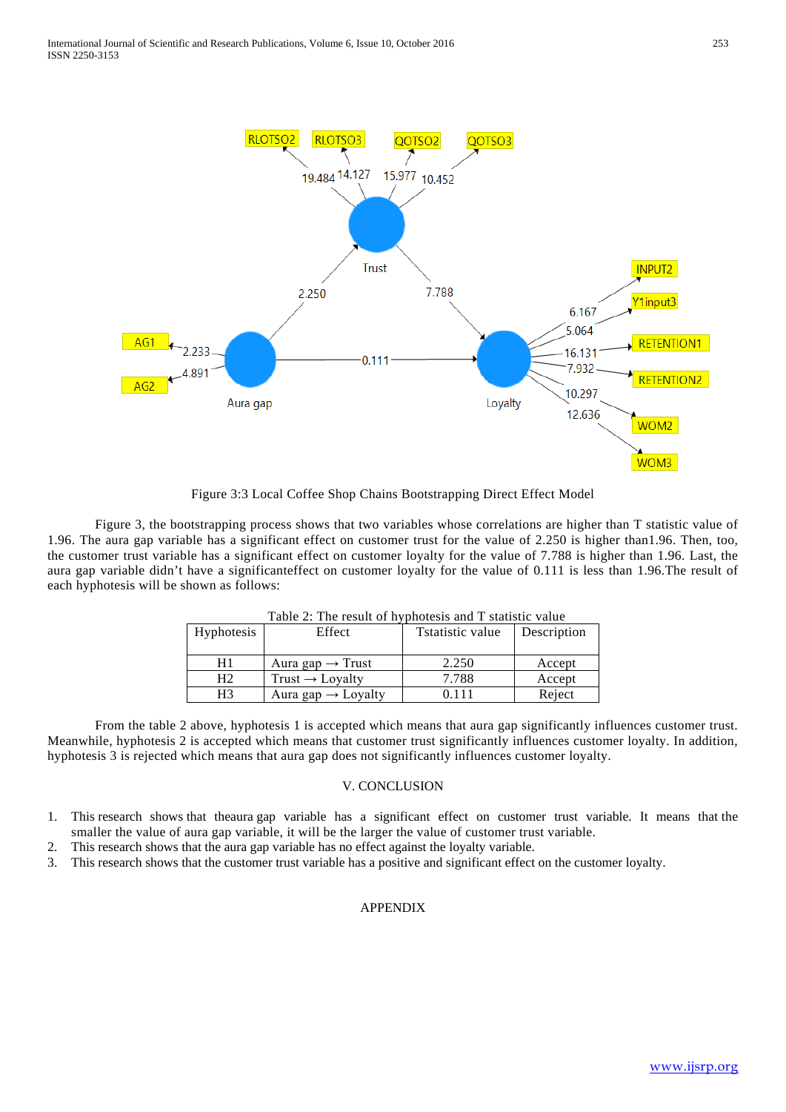

Figure 3:3 Local Coffee Shop Chains Bootstrapping Direct Effect Model

Figure 3, the bootstrapping process shows that two variables whose correlations are higher than T statistic value of 1.96. The aura gap variable has a significant effect on customer trust for the value of 2.250 is higher than1.96. Then, too, the customer trust variable has a significant effect on customer loyalty for the value of 7.788 is higher than 1.96. Last, the aura gap variable didn't have a significanteffect on customer loyalty for the value of 0.111 is less than 1.96.The result of each hyphotesis will be shown as follows:

| $1$ able $2$ . The result of hyphotesis and T statistic value |                                |                  |             |  |  |  |
|---------------------------------------------------------------|--------------------------------|------------------|-------------|--|--|--|
| Hyphotesis                                                    | Effect                         | Tstatistic value | Description |  |  |  |
|                                                               |                                |                  |             |  |  |  |
| H1                                                            | Aura gap $\rightarrow$ Trust   | 2.250            | Accept      |  |  |  |
| Η2                                                            | Trust $\rightarrow$ Lovalty    | 7.788            | Accept      |  |  |  |
| H3                                                            | Aura gap $\rightarrow$ Loyalty | 0.111            | Reject      |  |  |  |

Table 2: The result of hyphotesis and T statistic value

From the table 2 above, hyphotesis 1 is accepted which means that aura gap significantly influences customer trust. Meanwhile, hyphotesis 2 is accepted which means that customer trust significantly influences customer loyalty. In addition, hyphotesis 3 is rejected which means that aura gap does not significantly influences customer loyalty.

## V. CONCLUSION

- 1. This research shows that theaura gap variable has a significant effect on customer trust variable. It means that the smaller the value of aura gap variable, it will be the larger the value of customer trust variable.
- 2. This research shows that the aura gap variable has no effect against the loyalty variable.
- 3. This research shows that the customer trust variable has a positive and significant effect on the customer loyalty.

#### APPENDIX